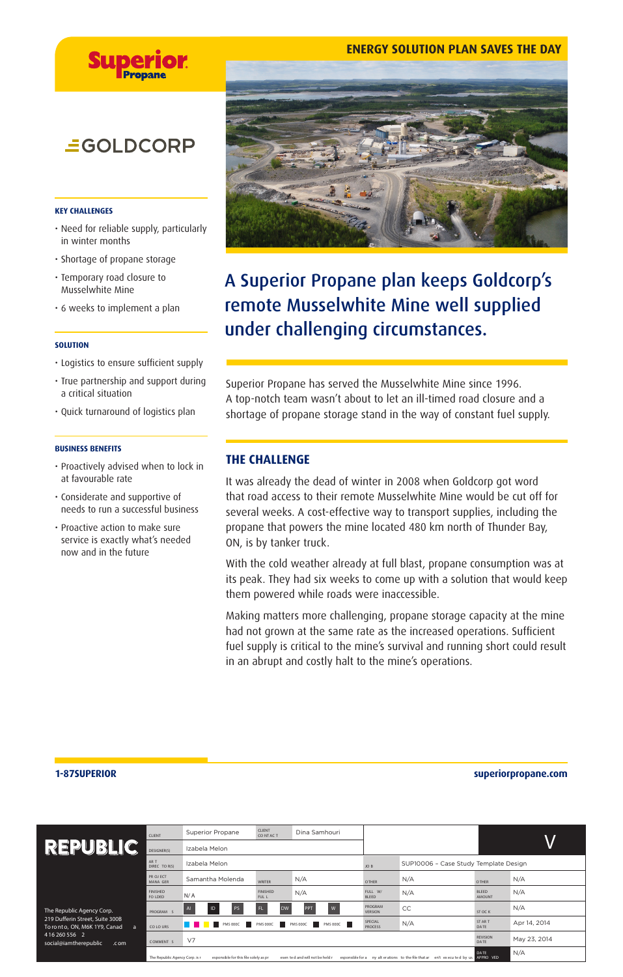## **ENERGY SOLUTION PLAN SAVES THE DAY**



## **EGOLDCORP**

### **KEY CHALLENGES**

- Need for reliable supply, particularly in winter months
- Shortage of propane storage
- Temporary road closure to Musselwhite Mine
- 6 weeks to implement a plan

### **SOLUTION**

- Logistics to ensure sufficient supply
- True partnership and support during a critical situation
- Quick turnaround of logistics plan

### **BUSINESS BENEFITS**

- Proactively advised when to lock in at favourable rate
- Considerate and supportive of needs to run a successful business
- Proactive action to make sure service is exactly what's needed now and in the future



## A Superior Propane plan keeps Goldcorp's remote Musselwhite Mine well supplied under challenging circumstances.

Superior Propane has served the Musselwhite Mine since 1996. A top-notch team wasn't about to let an ill-timed road closure and a shortage of propane storage stand in the way of constant fuel supply.

## **THE CHALLENGE**

It was already the dead of winter in 2008 when Goldcorp got word that road access to their remote Musselwhite Mine would be cut off for several weeks. A cost-effective way to transport supplies, including the propane that powers the mine located 480 km north of Thunder Bay, ON, is by tanker truck.

With the cold weather already at full blast, propane consumption was at its peak. They had six weeks to come up with a solution that would keep them powered while roads were inaccessible.

Making matters more challenging, propane storage capacity at the mine had not grown at the same rate as the increased operations. Sufficient fuel supply is critical to the mine's survival and running short could result in an abrupt and costly halt to the mine's operations.